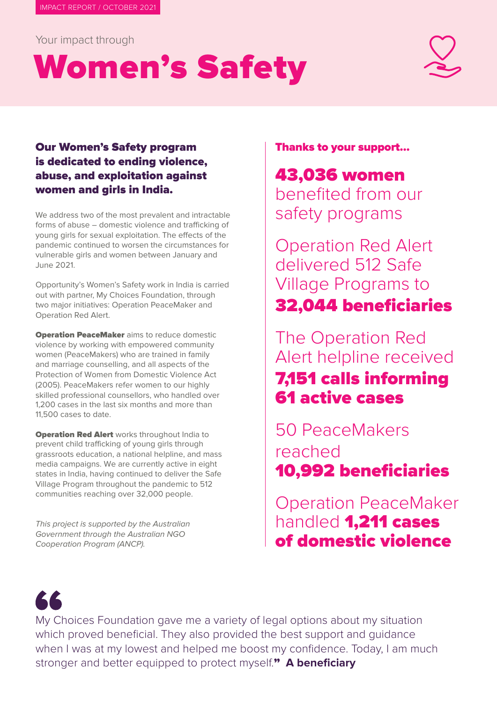Your impact through

# Women's Safety



### Our Women's Safety program is dedicated to ending violence, abuse, and exploitation against women and girls in India.

We address two of the most prevalent and intractable forms of abuse – domestic violence and trafficking of young girls for sexual exploitation. The effects of the pandemic continued to worsen the circumstances for vulnerable girls and women between January and June 2021.

Opportunity's Women's Safety work in India is carried out with partner, My Choices Foundation, through two major initiatives: Operation PeaceMaker and Operation Red Alert.

**Operation PeaceMaker** aims to reduce domestic violence by working with empowered community women (PeaceMakers) who are trained in family and marriage counselling, and all aspects of the Protection of Women from Domestic Violence Act (2005). PeaceMakers refer women to our highly skilled professional counsellors, who handled over 1,200 cases in the last six months and more than 11,500 cases to date.

**Operation Red Alert** works throughout India to prevent child trafficking of young girls through grassroots education, a national helpline, and mass media campaigns. We are currently active in eight states in India, having continued to deliver the Safe Village Program throughout the pandemic to 512 communities reaching over 32,000 people.

This project is supported by the Australian Government through the Australian NGO Cooperation Program (ANCP).

Thanks to your support…

43,036 women benefited from our safety programs

Operation Red Alert delivered 512 Safe Village Programs to 32,044 beneficiaries

The Operation Red Alert helpline received 7,151 calls informing 61 active cases

50 PeaceMakers reached 10,992 beneficiaries

Operation PeaceMaker handled **1,211 cases** of domestic violence



My Choices Foundation gave me a variety of legal options about my situation which proved beneficial. They also provided the best support and guidance when I was at my lowest and helped me boost my confidence. Today, I am much stronger and better equipped to protect myself." **A beneficiary**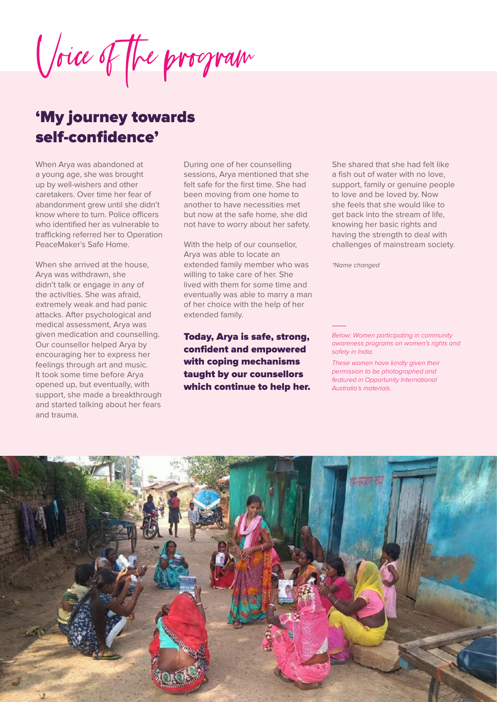Voice of the program

## 'My journey towards self-confidence'

When Arya was abandoned at a young age, she was brought up by well-wishers and other caretakers. Over time her fear of abandonment grew until she didn't know where to turn. Police officers who identified her as vulnerable to trafficking referred her to Operation PeaceMaker's Safe Home.

When she arrived at the house. Arya was withdrawn, she didn't talk or engage in any of the activities. She was afraid, extremely weak and had panic attacks. After psychological and medical assessment, Arya was given medication and counselling. Our counsellor helped Arya by encouraging her to express her feelings through art and music. It took some time before Arya opened up, but eventually, with support, she made a breakthrough and started talking about her fears and trauma.

During one of her counselling sessions, Arya mentioned that she felt safe for the first time. She had been moving from one home to another to have necessities met but now at the safe home, she did not have to worry about her safety.

With the help of our counsellor, Arya was able to locate an extended family member who was willing to take care of her. She lived with them for some time and eventually was able to marry a man of her choice with the help of her extended family.

Today, Arya is safe, strong, confident and empowered with coping mechanisms taught by our counsellors which continue to help her.

She shared that she had felt like a fish out of water with no love, support, family or genuine people to love and be loved by. Now she feels that she would like to get back into the stream of life, knowing her basic rights and having the strength to deal with challenges of mainstream society.

\*Name changed

*Below: Women participating in community awareness programs on women's rights and safety in India.* 

*These women have kindly given their permission to be photographed and featured in Opportunity International Australia's materials.*

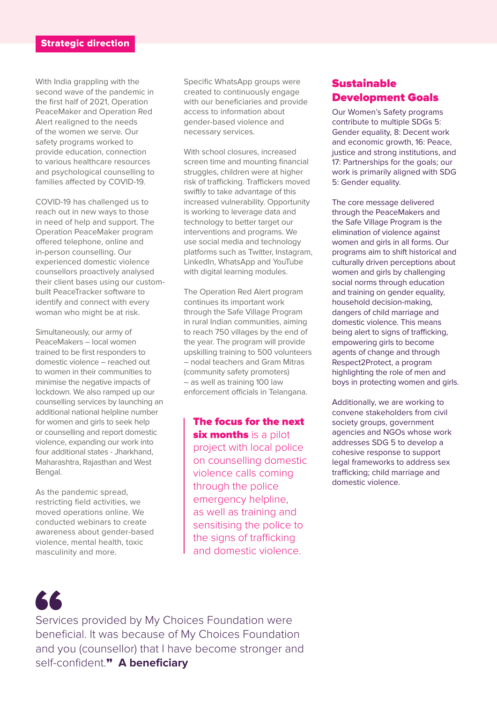With India grappling with the second wave of the pandemic in the first half of 2021, Operation PeaceMaker and Operation Red Alert realigned to the needs of the women we serve. Our safety programs worked to provide education, connection to various healthcare resources and psychological counselling to families affected by COVID-19.

COVID-19 has challenged us to reach out in new ways to those in need of help and support. The Operation PeaceMaker program offered telephone, online and in-person counselling. Our experienced domestic violence counsellors proactively analysed their client bases using our custombuilt PeaceTracker software to identify and connect with every woman who might be at risk.

Simultaneously, our army of PeaceMakers – local women trained to be first responders to domestic violence – reached out to women in their communities to minimise the negative impacts of lockdown. We also ramped up our counselling services by launching an additional national helpline number for women and girls to seek help or counselling and report domestic violence, expanding our work into four additional states - Jharkhand, Maharashtra, Rajasthan and West Bengal.

As the pandemic spread, restricting field activities, we moved operations online. We conducted webinars to create awareness about gender-based violence, mental health, toxic masculinity and more.

Specific WhatsApp groups were created to continuously engage with our beneficiaries and provide access to information about gender-based violence and necessary services.

With school closures, increased screen time and mounting financial struggles, children were at higher risk of trafficking. Traffickers moved swiftly to take advantage of this increased vulnerability. Opportunity is working to leverage data and technology to better target our interventions and programs. We use social media and technology platforms such as Twitter, Instagram, LinkedIn, WhatsApp and YouTube with digital learning modules.

The Operation Red Alert program continues its important work through the Safe Village Program in rural Indian communities, aiming to reach 750 villages by the end of the year. The program will provide upskilling training to 500 volunteers – nodal teachers and Gram Mitras (community safety promoters) – as well as training 100 law enforcement officials in Telangana.

The focus for the next **six months** is a pilot project with local police on counselling domestic violence calls coming through the police emergency helpline, as well as training and sensitising the police to the signs of trafficking and domestic violence.

#### Sustainable Development Goals

Our Women's Safety programs contribute to multiple SDGs 5: Gender equality, 8: Decent work and economic growth, 16: Peace, justice and strong institutions, and 17: Partnerships for the goals; our work is primarily aligned with SDG 5: Gender equality.

The core message delivered through the PeaceMakers and the Safe Village Program is the elimination of violence against women and girls in all forms. Our programs aim to shift historical and culturally driven perceptions about women and girls by challenging social norms through education and training on gender equality, household decision-making, dangers of child marriage and domestic violence. This means being alert to signs of trafficking, empowering girls to become agents of change and through Respect2Protect, a program highlighting the role of men and boys in protecting women and girls.

Additionally, we are working to convene stakeholders from civil society groups, government agencies and NGOs whose work addresses SDG 5 to develop a cohesive response to support legal frameworks to address sex trafficking; child marriage and domestic violence.



Services provided by My Choices Foundation were beneficial. It was because of My Choices Foundation and you (counsellor) that I have become stronger and self-confident." **A beneficiary**